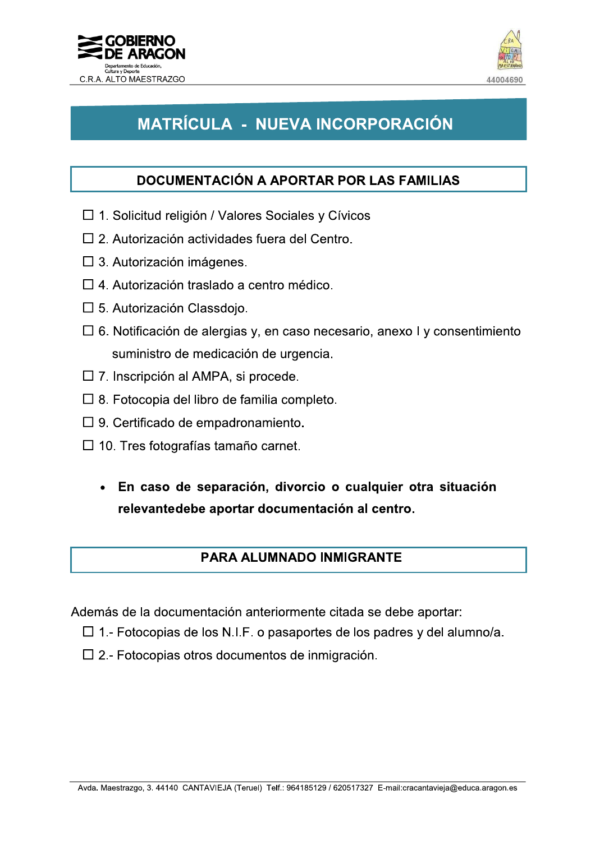



# MATRÍCULA - NUEVA INCORPORACIÓN

### **DOCUMENTACIÓN A APORTAR POR LAS FAMILIAS**

- □ 1. Solicitud religión / Valores Sociales y Cívicos
- $\Box$  2. Autorización actividades fuera del Centro.
- $\square$  3. Autorización imágenes.
- $\Box$  4. Autorización traslado a centro médico.
- $\square$  5. Autorización Classdoio.
- $\Box$  6. Notificación de alergias y, en caso necesario, anexo I y consentimiento suministro de medicación de urgencia.
- $\Box$  7. Inscripción al AMPA, si procede.
- $\Box$  8. Fotocopia del libro de familia completo.
- $\Box$  9. Certificado de empadronamiento.
- $\Box$  10. Tres fotografías tamaño carnet.
	- En caso de separación, divorcio o cualquier otra situación  $\bullet$ relevantedebe aportar documentación al centro.

### **PARA ALUMNADO INMIGRANTE**

Además de la documentación anteriormente citada se debe aportar:

- $\Box$  1.- Fotocopias de los N.I.F. o pasaportes de los padres y del alumno/a.
- $\Box$  2.- Fotocopias otros documentos de inmigración.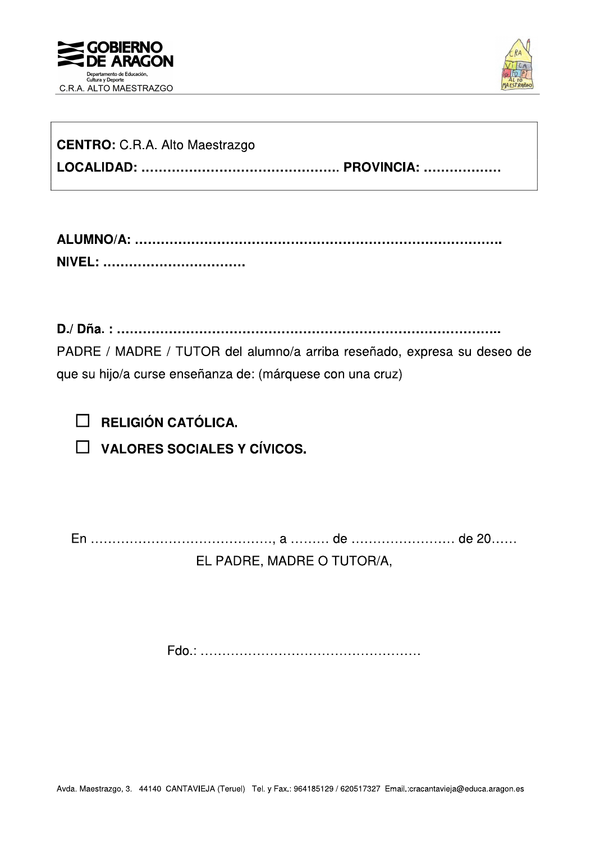



| <b>CENTRO:</b> C.R.A. Alto Maestrazgo |  |
|---------------------------------------|--|
|                                       |  |

| <b>NIVE</b><br>wa aanaanaanaanaanaanaanaanaanaanaa |  |
|----------------------------------------------------|--|

PADRE / MADRE / TUTOR del alumno/a arriba reseñado, expresa su deseo de que su hijo/a curse enseñanza de: (márquese con una cruz)

 $\Box$  RELIGIÓN CATÓLICA.

 $\Box$  VALORES SOCIALES Y CÍVICOS.

EL PADRE, MADRE O TUTOR/A,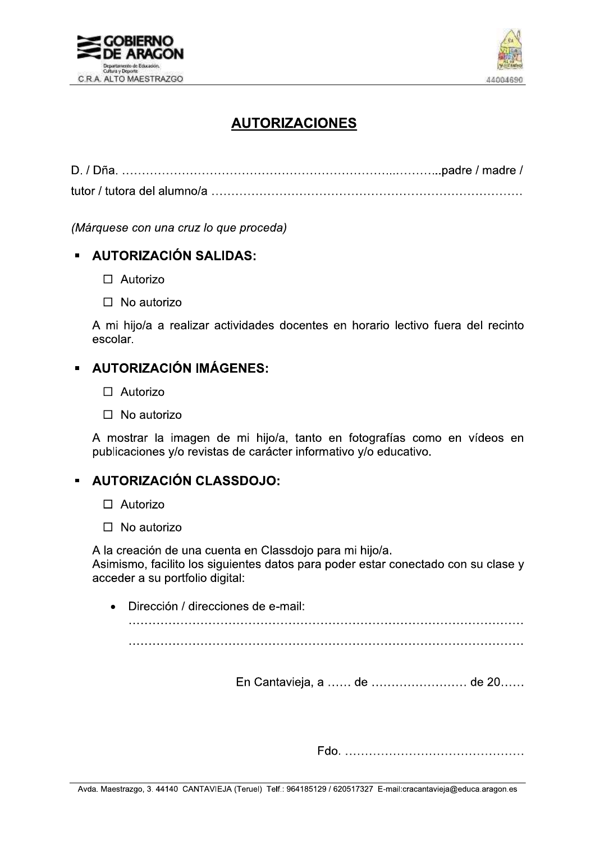



## **AUTORIZACIONES**

(Márquese con una cruz lo que proceda)

#### **AUTORIZACIÓN SALIDAS:**

- $\Box$  Autorizo
- $\Box$  No autorizo

A mi hijo/a a realizar actividades docentes en horario lectivo fuera del recinto escolar.

### **AUTORIZACIÓN IMÁGENES:**

- $\Box$  Autorizo
- $\Box$  No autorizo

A mostrar la imagen de mi hijo/a, tanto en fotografías como en vídeos en publicaciones y/o revistas de carácter informativo y/o educativo.

### **AUTORIZACIÓN CLASSDOJO:**

- $\Box$  Autorizo
- $\Box$  No autorizo

A la creación de una cuenta en Classdojo para mi hijo/a. Asimismo, facilito los siguientes datos para poder estar conectado con su clase y acceder a su portfolio digital:

Dirección / direcciones de e-mail: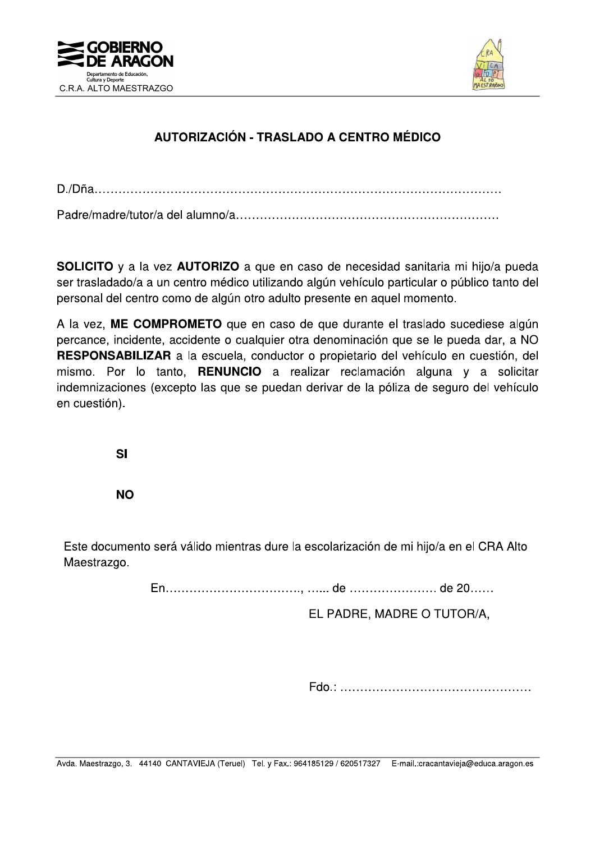



### AUTORIZACIÓN - TRASLADO A CENTRO MÉDICO

**SOLICITO** y a la vez **AUTORIZO** a que en caso de necesidad sanitaria mi hijo/a pueda ser trasladado/a a un centro médico utilizando algún vehículo particular o público tanto del personal del centro como de algún otro adulto presente en aquel momento.

A la vez. ME COMPROMETO que en caso de que durante el traslado sucediese algún percance, incidente, accidente o cualquier otra denominación que se le pueda dar, a NO RESPONSABILIZAR a la escuela, conductor o propietario del vehículo en cuestión, del mismo. Por lo tanto, **RENUNCIO** a realizar reclamación alguna y a solicitar indemnizaciones (excepto las que se puedan derivar de la póliza de seguro del vehículo en cuestión).

 $SI$ 

**NO** 

Este documento será válido mientras dure la escolarización de mi hijo/a en el CRA Alto Maestrazgo.

EL PADRE, MADRE O TUTOR/A,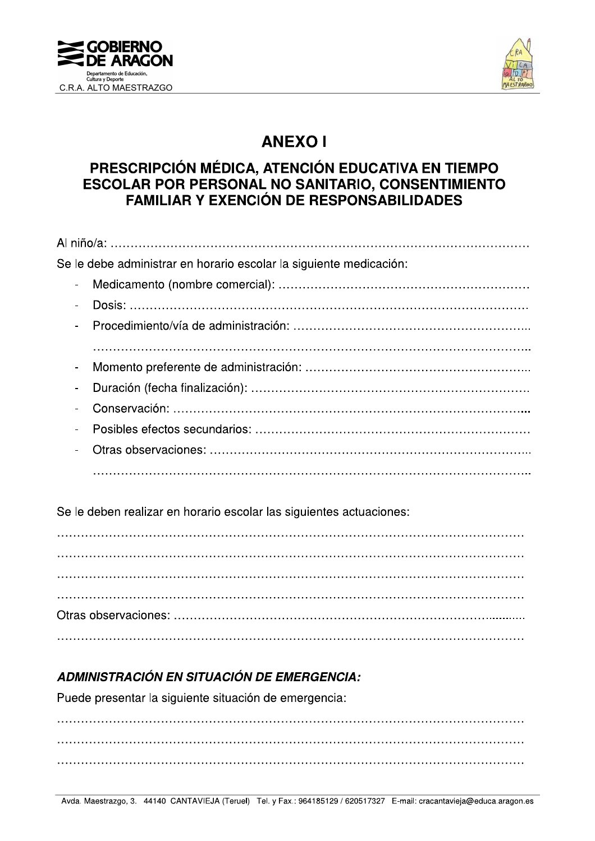



## **ANEXOI**

### PRESCRIPCIÓN MÉDICA, ATENCIÓN EDUCATIVA EN TIEMPO **ESCOLAR POR PERSONAL NO SANITARIO, CONSENTIMIENTO FAMILIAR Y EXENCIÓN DE RESPONSABILIDADES**

|          | Se le debe administrar en horario escolar la siguiente medicación: |
|----------|--------------------------------------------------------------------|
| $\equiv$ |                                                                    |
|          |                                                                    |
|          |                                                                    |
|          |                                                                    |
| $\sim$   |                                                                    |
| $\sim$   |                                                                    |
|          |                                                                    |
|          |                                                                    |
|          |                                                                    |
|          |                                                                    |

Se le deben realizar en horario escolar las siguientes actuaciones:

### **ADMINISTRACIÓN EN SITUACIÓN DE EMERGENCIA:**

Puede presentar la siguiente situación de emergencia: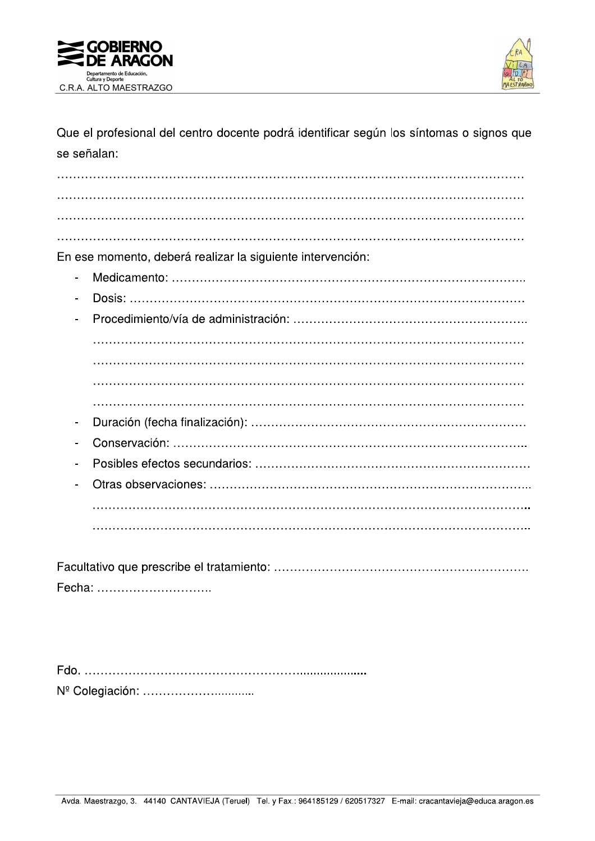



Que el profesional del centro docente podrá identificar según los síntomas o signos que se señalan:

En ese momento, deberá realizar la siguiente intervención:

- 
- $\overline{a}$  $\overline{a}$  $\overline{a}$

Fecha: ..............................

Nº Colegiación: .................................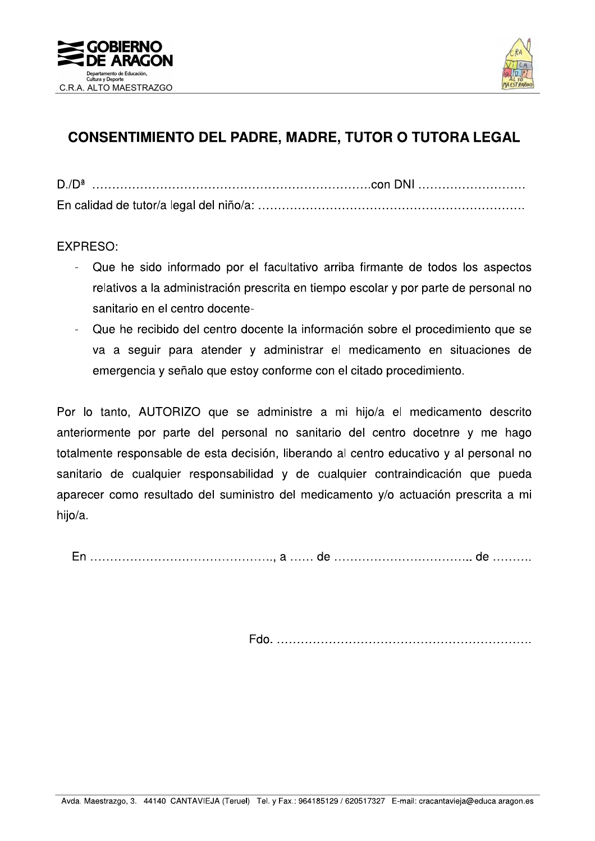



## **CONSENTIMIENTO DEL PADRE, MADRE, TUTOR O TUTORA LEGAL**

**EXPRESO:** 

- Que he sido informado por el facultativo arriba firmante de todos los aspectos relativos a la administración prescrita en tiempo escolar y por parte de personal no sanitario en el centro docente-
- Que he recibido del centro docente la información sobre el procedimiento que se va a seguir para atender y administrar el medicamento en situaciones de emergencia y señalo que estoy conforme con el citado procedimiento.

Por lo tanto, AUTORIZO que se administre a mi hijo/a el medicamento descrito anteriormente por parte del personal no sanitario del centro docetnre y me hago totalmente responsable de esta decisión, liberando al centro educativo y al personal no sanitario de cualquier responsabilidad y de cualquier contraindicación que pueda aparecer como resultado del suministro del medicamento y/o actuación prescrita a mi hijo/a.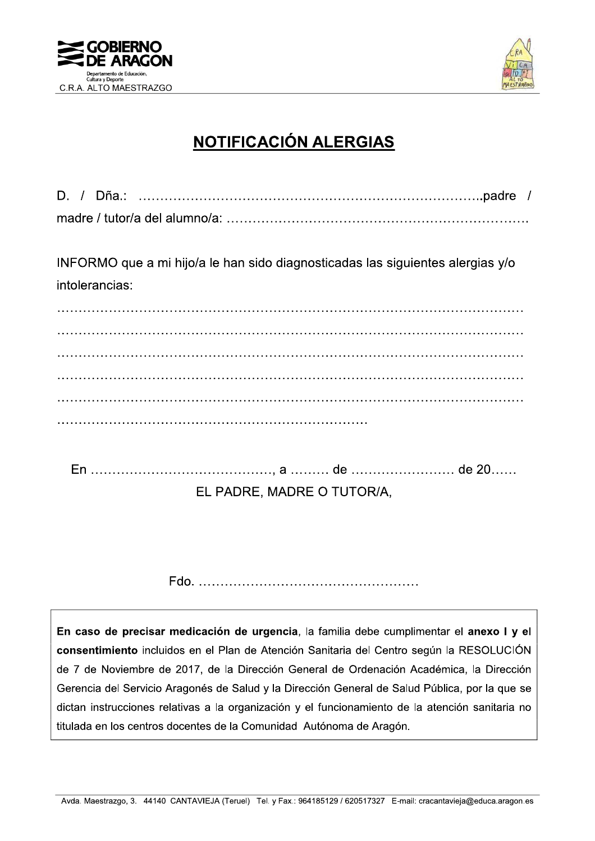



# **NOTIFICACIÓN ALERGIAS**

INFORMO que a mi hijo/a le han sido diagnosticadas las siguientes alergias y/o intolerancias:

EL PADRE, MADRE O TUTOR/A,

En caso de precisar medicación de urgencia, la familia debe cumplimentar el anexo I y el consentimiento incluidos en el Plan de Atención Sanitaria del Centro según la RESOLUCIÓN de 7 de Noviembre de 2017, de la Dirección General de Ordenación Académica, la Dirección Gerencia del Servicio Aragonés de Salud y la Dirección General de Salud Pública, por la que se dictan instrucciones relativas a la organización y el funcionamiento de la atención sanitaria no titulada en los centros docentes de la Comunidad Autónoma de Aragón.